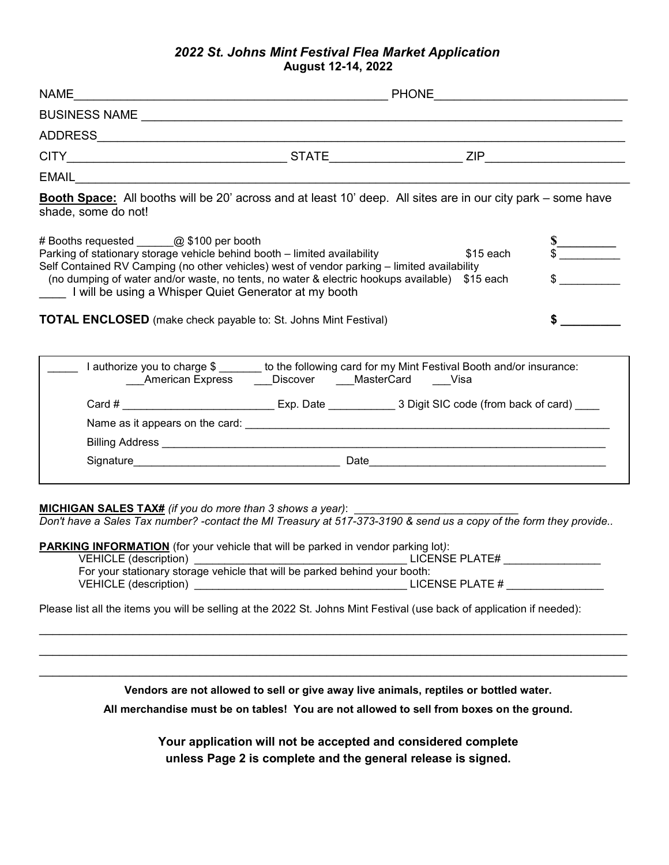## *2022 St. Johns Mint Festival Flea Market Application* **August 12-14, 2022**

| EMAIL <b>EXECUTIVE CONTRACT CONTRACT CONTRACT CONTRACT CONTRACT CONTRACT CONTRACT CONTRACT CONTRACT CONTRACT CONTRACT CONTRACT CONTRACT CONTRACT CONTRACT CONTRACT CONTRACT CONTRACT CONTRACT CONTRACT CONTRACT CONTRACT CONTRAC</b>                  |    |  |  |  |  |
|-------------------------------------------------------------------------------------------------------------------------------------------------------------------------------------------------------------------------------------------------------|----|--|--|--|--|
| <b>Booth Space:</b> All booths will be 20' across and at least 10' deep. All sites are in our city park – some have<br>shade, some do not!                                                                                                            |    |  |  |  |  |
| # Booths requested @ \$100 per booth                                                                                                                                                                                                                  |    |  |  |  |  |
| Parking of stationary storage vehicle behind booth - limited availability                                                                                                                                                                             |    |  |  |  |  |
| Self Contained RV Camping (no other vehicles) west of vendor parking - limited availability<br>(no dumping of water and/or waste, no tents, no water & electric hookups available) \$15 each<br>I will be using a Whisper Quiet Generator at my booth |    |  |  |  |  |
| <b>TOTAL ENCLOSED</b> (make check payable to: St. Johns Mint Festival)                                                                                                                                                                                | \$ |  |  |  |  |
| I authorize you to charge \$ _______ to the following card for my Mint Festival Booth and/or insurance:<br>American Express ____Discover ____MasterCard ____Visa                                                                                      |    |  |  |  |  |
|                                                                                                                                                                                                                                                       |    |  |  |  |  |
|                                                                                                                                                                                                                                                       |    |  |  |  |  |
|                                                                                                                                                                                                                                                       |    |  |  |  |  |
|                                                                                                                                                                                                                                                       |    |  |  |  |  |
|                                                                                                                                                                                                                                                       |    |  |  |  |  |

**MICHIGAN SALES TAX#** *(if you do more than 3 shows a year)*:

*Don't have a Sales Tax number? -contact the MI Treasury at 517-373-3190 & send us a copy of the form they provide..*

**PARKING INFORMATION** (for your vehicle that will be parked in vendor parking lot*)*:

| VEHICLE (description)                                                      | LICENSE PLATE#  |
|----------------------------------------------------------------------------|-----------------|
| For your stationary storage vehicle that will be parked behind your booth: |                 |
| VEHICLE (description)                                                      | LICENSE PLATE # |

Please list all the items you will be selling at the 2022 St. Johns Mint Festival (use back of application if needed):

\_\_\_\_\_\_\_\_\_\_\_\_\_\_\_\_\_\_\_\_\_\_\_\_\_\_\_\_\_\_\_\_\_\_\_\_\_\_\_\_\_\_\_\_\_\_\_\_\_\_\_\_\_\_\_\_\_\_\_\_\_\_\_\_\_\_\_\_\_\_\_\_\_\_\_\_\_\_\_\_\_\_\_\_\_\_\_\_ **Vendors are not allowed to sell or give away live animals, reptiles or bottled water.** 

\_\_\_\_\_\_\_\_\_\_\_\_\_\_\_\_\_\_\_\_\_\_\_\_\_\_\_\_\_\_\_\_\_\_\_\_\_\_\_\_\_\_\_\_\_\_\_\_\_\_\_\_\_\_\_\_\_\_\_\_\_\_\_\_\_\_\_\_\_\_\_\_\_\_\_\_\_\_\_\_\_\_\_\_\_\_\_\_ \_\_\_\_\_\_\_\_\_\_\_\_\_\_\_\_\_\_\_\_\_\_\_\_\_\_\_\_\_\_\_\_\_\_\_\_\_\_\_\_\_\_\_\_\_\_\_\_\_\_\_\_\_\_\_\_\_\_\_\_\_\_\_\_\_\_\_\_\_\_\_\_\_\_\_\_\_\_\_\_\_\_\_\_\_\_\_\_

**All merchandise must be on tables! You are not allowed to sell from boxes on the ground.**

**Your application will not be accepted and considered complete unless Page 2 is complete and the general release is signed.**